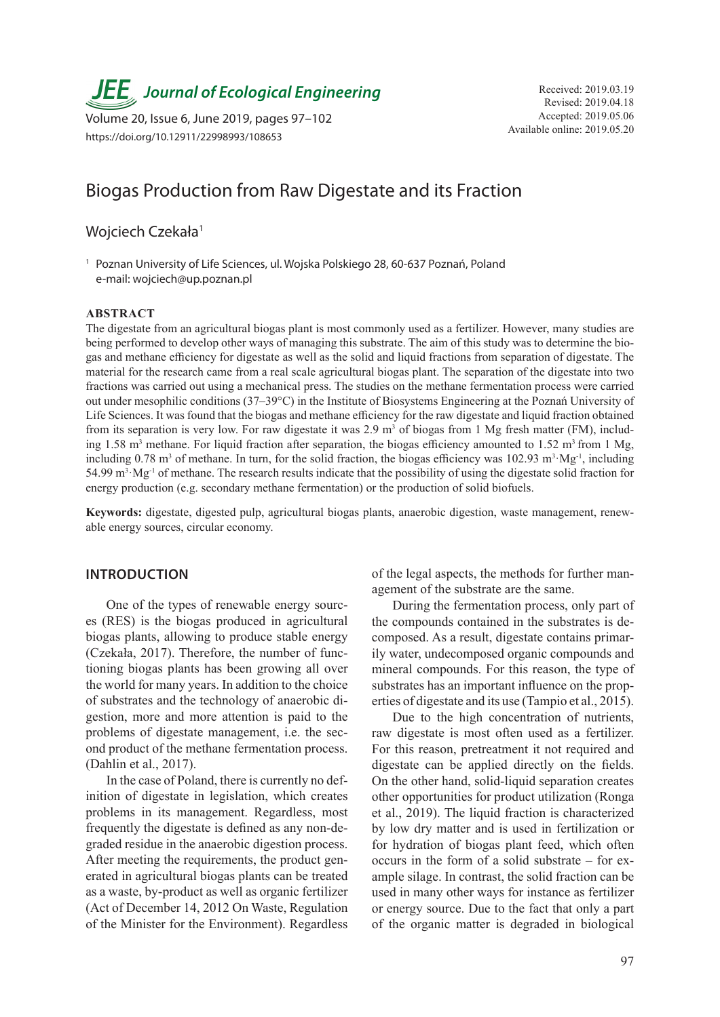**JEE** Journal of Ecological Engineering Received: 2019.03.19

Available online: 2019.05.20 Volume 20, Issue 6, June 2019, pages 97–102 https://doi.org/10.12911/22998993/108653

# Biogas Production from Raw Digestate and its Fraction

# Wojciech Czekała<sup>1</sup>

<sup>1</sup> Poznan University of Life Sciences, ul. Wojska Polskiego 28, 60-637 Poznań, Poland e-mail: wojciech@up.poznan.pl

#### **ABSTRACT**

The digestate from an agricultural biogas plant is most commonly used as a fertilizer. However, many studies are being performed to develop other ways of managing this substrate. The aim of this study was to determine the biogas and methane efficiency for digestate as well as the solid and liquid fractions from separation of digestate. The material for the research came from a real scale agricultural biogas plant. The separation of the digestate into two fractions was carried out using a mechanical press. The studies on the methane fermentation process were carried out under mesophilic conditions (37–39°C) in the Institute of Biosystems Engineering at the Poznań University of Life Sciences. It was found that the biogas and methane efficiency for the raw digestate and liquid fraction obtained from its separation is very low. For raw digestate it was  $2.9 \text{ m}^3$  of biogas from 1 Mg fresh matter (FM), including 1.58 m<sup>3</sup> methane. For liquid fraction after separation, the biogas efficiency amounted to 1.52 m<sup>3</sup> from 1 Mg, including 0.78 m<sup>3</sup> of methane. In turn, for the solid fraction, the biogas efficiency was  $102.93 \text{ m}^3 \cdot \text{Mg}^{-1}$ , including 54.99  $m<sup>3</sup>$  Mg<sup>-1</sup> of methane. The research results indicate that the possibility of using the digestate solid fraction for energy production (e.g. secondary methane fermentation) or the production of solid biofuels.

**Keywords:** digestate, digested pulp, agricultural biogas plants, anaerobic digestion, waste management, renewable energy sources, circular economy.

## **INTRODUCTION**

One of the types of renewable energy sources (RES) is the biogas produced in agricultural biogas plants, allowing to produce stable energy (Czekała, 2017). Therefore, the number of functioning biogas plants has been growing all over the world for many years. In addition to the choice of substrates and the technology of anaerobic digestion, more and more attention is paid to the problems of digestate management, i.e. the second product of the methane fermentation process. (Dahlin et al., 2017).

In the case of Poland, there is currently no definition of digestate in legislation, which creates problems in its management. Regardless, most frequently the digestate is defined as any non-degraded residue in the anaerobic digestion process. After meeting the requirements, the product generated in agricultural biogas plants can be treated as a waste, by-product as well as organic fertilizer (Act of December 14, 2012 On Waste, Regulation of the Minister for the Environment). Regardless of the legal aspects, the methods for further management of the substrate are the same.

During the fermentation process, only part of the compounds contained in the substrates is decomposed. As a result, digestate contains primarily water, undecomposed organic compounds and mineral compounds. For this reason, the type of substrates has an important influence on the properties of digestate and its use (Tampio et al., 2015).

Due to the high concentration of nutrients, raw digestate is most often used as a fertilizer. For this reason, pretreatment it not required and digestate can be applied directly on the fields. On the other hand, solid-liquid separation creates other opportunities for product utilization (Ronga et al., 2019). The liquid fraction is characterized by low dry matter and is used in fertilization or for hydration of biogas plant feed, which often occurs in the form of a solid substrate – for example silage. In contrast, the solid fraction can be used in many other ways for instance as fertilizer or energy source. Due to the fact that only a part of the organic matter is degraded in biological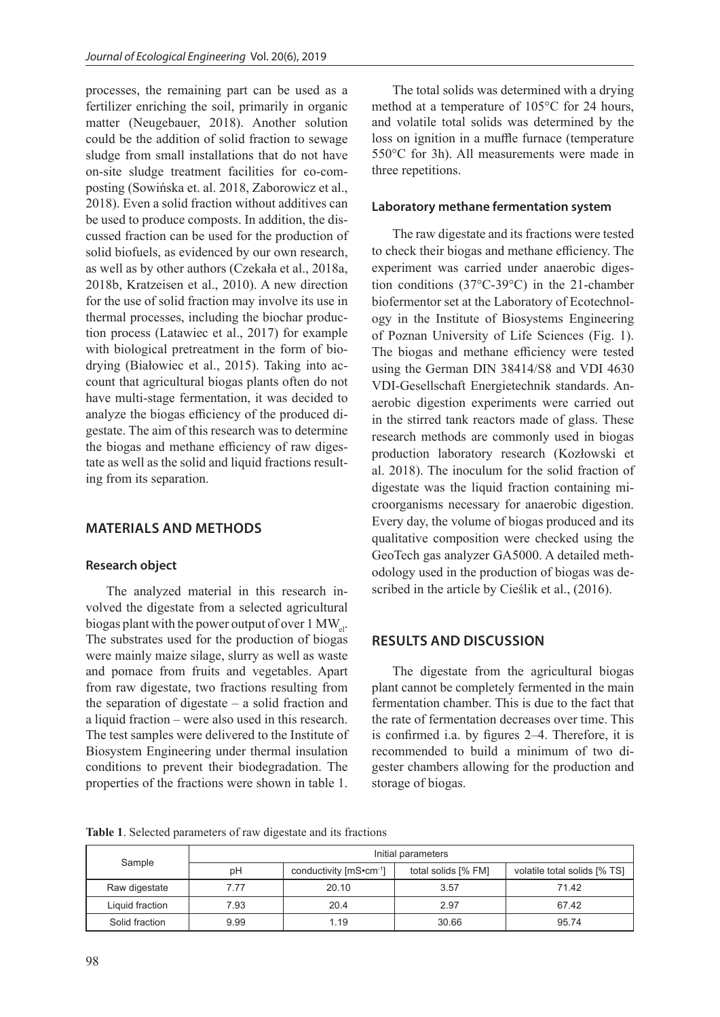processes, the remaining part can be used as a fertilizer enriching the soil, primarily in organic matter (Neugebauer, 2018). Another solution could be the addition of solid fraction to sewage sludge from small installations that do not have on-site sludge treatment facilities for co-composting (Sowińska et. al. 2018, Zaborowicz et al., 2018). Even a solid fraction without additives can be used to produce composts. In addition, the discussed fraction can be used for the production of solid biofuels, as evidenced by our own research, as well as by other authors (Czekała et al., 2018a, 2018b, Kratzeisen et al., 2010). A new direction for the use of solid fraction may involve its use in thermal processes, including the biochar production process (Latawiec et al., 2017) for example with biological pretreatment in the form of biodrying (Białowiec et al., 2015). Taking into account that agricultural biogas plants often do not have multi-stage fermentation, it was decided to analyze the biogas efficiency of the produced digestate. The aim of this research was to determine the biogas and methane efficiency of raw digestate as well as the solid and liquid fractions resulting from its separation.

# **MATERIALS AND METHODS**

## **Research object**

The analyzed material in this research involved the digestate from a selected agricultural biogas plant with the power output of over  $1 \text{ MW}_{el}$ . The substrates used for the production of biogas were mainly maize silage, slurry as well as waste and pomace from fruits and vegetables. Apart from raw digestate, two fractions resulting from the separation of digestate – a solid fraction and a liquid fraction – were also used in this research. The test samples were delivered to the Institute of Biosystem Engineering under thermal insulation conditions to prevent their biodegradation. The properties of the fractions were shown in table 1.

The total solids was determined with a drying method at a temperature of 105°C for 24 hours, and volatile total solids was determined by the loss on ignition in a muffle furnace (temperature 550°C for 3h). All measurements were made in three repetitions.

#### **Laboratory methane fermentation system**

The raw digestate and its fractions were tested to check their biogas and methane efficiency. The experiment was carried under anaerobic digestion conditions (37°C-39°C) in the 21-chamber biofermentor set at the Laboratory of Ecotechnology in the Institute of Biosystems Engineering of Poznan University of Life Sciences (Fig. 1). The biogas and methane efficiency were tested using the German DIN 38414/S8 and VDI 4630 VDI-Gesellschaft Energietechnik standards. Anaerobic digestion experiments were carried out in the stirred tank reactors made of glass. These research methods are commonly used in biogas production laboratory research (Kozłowski et al. 2018). The inoculum for the solid fraction of digestate was the liquid fraction containing microorganisms necessary for anaerobic digestion. Every day, the volume of biogas produced and its qualitative composition were checked using the GeoTech gas analyzer GA5000. A detailed methodology used in the production of biogas was described in the article by Cieślik et al., (2016).

#### **RESULTS AND DISCUSSION**

The digestate from the agricultural biogas plant cannot be completely fermented in the main fermentation chamber. This is due to the fact that the rate of fermentation decreases over time. This is confirmed i.a. by figures 2–4. Therefore, it is recommended to build a minimum of two digester chambers allowing for the production and storage of biogas.

**Table 1**. Selected parameters of raw digestate and its fractions

| Sample          | Initial parameters |                        |                     |                              |  |  |
|-----------------|--------------------|------------------------|---------------------|------------------------------|--|--|
|                 | рH                 | conductivity [mS•cm-1] | total solids [% FM] | volatile total solids [% TS] |  |  |
| Raw digestate   | 7.77               | 20.10                  | 3.57                | 71.42                        |  |  |
| Liquid fraction | 7.93               | 20.4                   | 2.97                | 67.42                        |  |  |
| Solid fraction  | 9.99               | 1.19                   | 30.66               | 95.74                        |  |  |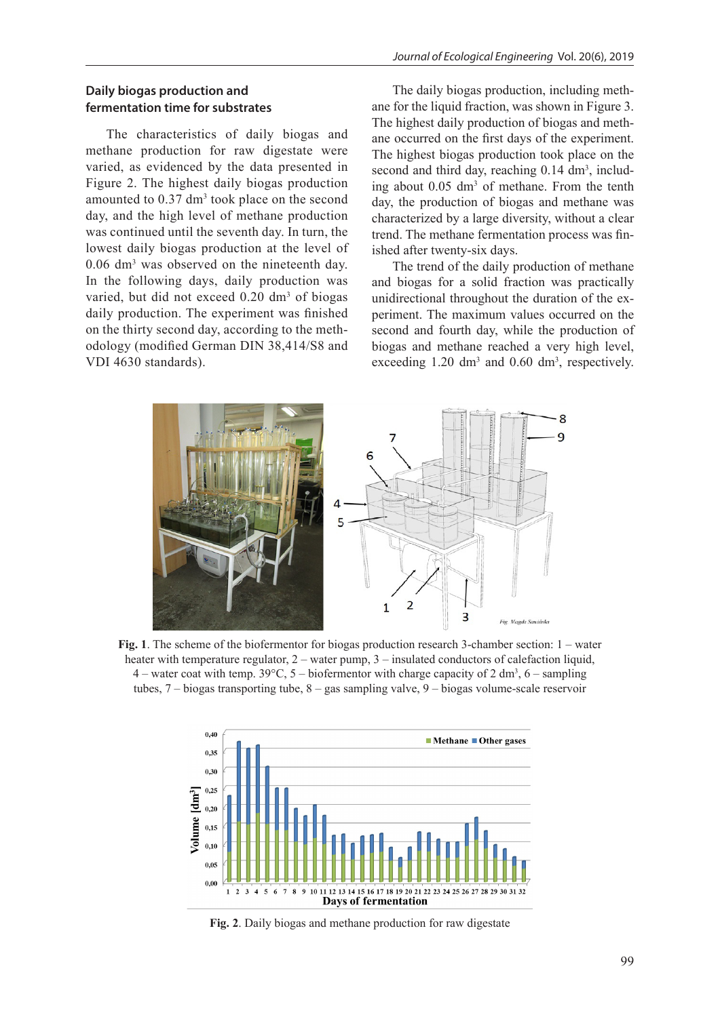## **Daily biogas production and fermentation time for substrates**

The characteristics of daily biogas and methane production for raw digestate were varied, as evidenced by the data presented in Figure 2. The highest daily biogas production amounted to  $0.37 \text{ dm}^3$  took place on the second day, and the high level of methane production was continued until the seventh day. In turn, the lowest daily biogas production at the level of 0.06 dm3 was observed on the nineteenth day. In the following days, daily production was varied, but did not exceed  $0.20 \text{ dm}^3$  of biogas daily production. The experiment was finished on the thirty second day, according to the methodology (modified German DIN 38,414/S8 and VDI 4630 standards).

The daily biogas production, including methane for the liquid fraction, was shown in Figure 3. The highest daily production of biogas and methane occurred on the first days of the experiment. The highest biogas production took place on the second and third day, reaching  $0.14 \text{ dm}^3$ , including about 0.05 dm<sup>3</sup> of methane. From the tenth day, the production of biogas and methane was characterized by a large diversity, without a clear trend. The methane fermentation process was finished after twenty-six days.

The trend of the daily production of methane and biogas for a solid fraction was practically unidirectional throughout the duration of the experiment. The maximum values occurred on the second and fourth day, while the production of biogas and methane reached a very high level, exceeding  $1.20 \text{ dm}^3$  and  $0.60 \text{ dm}^3$ , respectively.



**Fig. 1**. The scheme of the biofermentor for biogas production research 3-chamber section: 1 – water heater with temperature regulator, 2 – water pump, 3 – insulated conductors of calefaction liquid, 4 – water coat with temp. 39 $^{\circ}$ C, 5 – biofermentor with charge capacity of 2 dm<sup>3</sup>, 6 – sampling tubes, 7 – biogas transporting tube, 8 – gas sampling valve, 9 – biogas volume-scale reservoir



**Fig. 2**. Daily biogas and methane production for raw digestate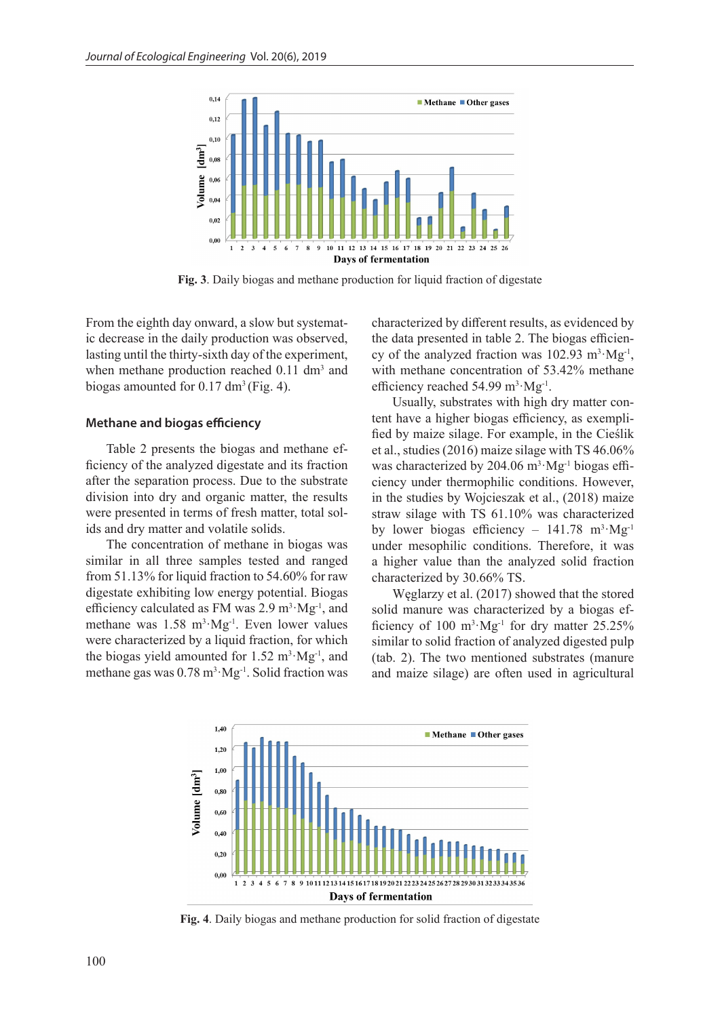

**Fig. 3**. Daily biogas and methane production for liquid fraction of digestate

From the eighth day onward, a slow but systematic decrease in the daily production was observed, lasting until the thirty-sixth day of the experiment, when methane production reached  $0.11 \text{ dm}^3$  and biogas amounted for  $0.17 \text{ dm}^3$  (Fig. 4).

#### **Methane and biogas efficiency**

Table 2 presents the biogas and methane efficiency of the analyzed digestate and its fraction after the separation process. Due to the substrate division into dry and organic matter, the results were presented in terms of fresh matter, total solids and dry matter and volatile solids.

The concentration of methane in biogas was similar in all three samples tested and ranged from 51.13% for liquid fraction to 54.60% for raw digestate exhibiting low energy potential. Biogas efficiency calculated as FM was  $2.9 \text{ m}^3 \cdot \text{Mg}^{-1}$ , and methane was  $1.58 \text{ m}^3 \cdot \text{Mg}^{-1}$ . Even lower values were characterized by a liquid fraction, for which the biogas yield amounted for  $1.52 \text{ m}^3 \cdot \text{Mg}^{-1}$ , and methane gas was  $0.78 \text{ m}^3 \cdot \text{Mg}^{-1}$ . Solid fraction was characterized by different results, as evidenced by the data presented in table 2. The biogas efficiency of the analyzed fraction was  $102.93 \text{ m}^3 \cdot \text{Mg}^{-1}$ , with methane concentration of 53.42% methane efficiency reached  $54.99 \text{ m}^3 \cdot \text{Mg}^{-1}$ .

Usually, substrates with high dry matter content have a higher biogas efficiency, as exemplified by maize silage. For example, in the Cieślik et al., studies (2016) maize silage with TS 46.06% was characterized by 204.06  $m^3 \cdot Mg^{-1}$  biogas efficiency under thermophilic conditions. However, in the studies by Wojcieszak et al., (2018) maize straw silage with TS 61.10% was characterized by lower biogas efficiency -  $141.78 \text{ m}^3 \cdot \text{Mg}^{-1}$ under mesophilic conditions. Therefore, it was a higher value than the analyzed solid fraction characterized by 30.66% TS.

Węglarzy et al. (2017) showed that the stored solid manure was characterized by a biogas efficiency of  $100 \text{ m}^3 \cdot \text{Mg}^{-1}$  for dry matter 25.25% similar to solid fraction of analyzed digested pulp (tab. 2). The two mentioned substrates (manure and maize silage) are often used in agricultural



**Fig. 4**. Daily biogas and methane production for solid fraction of digestate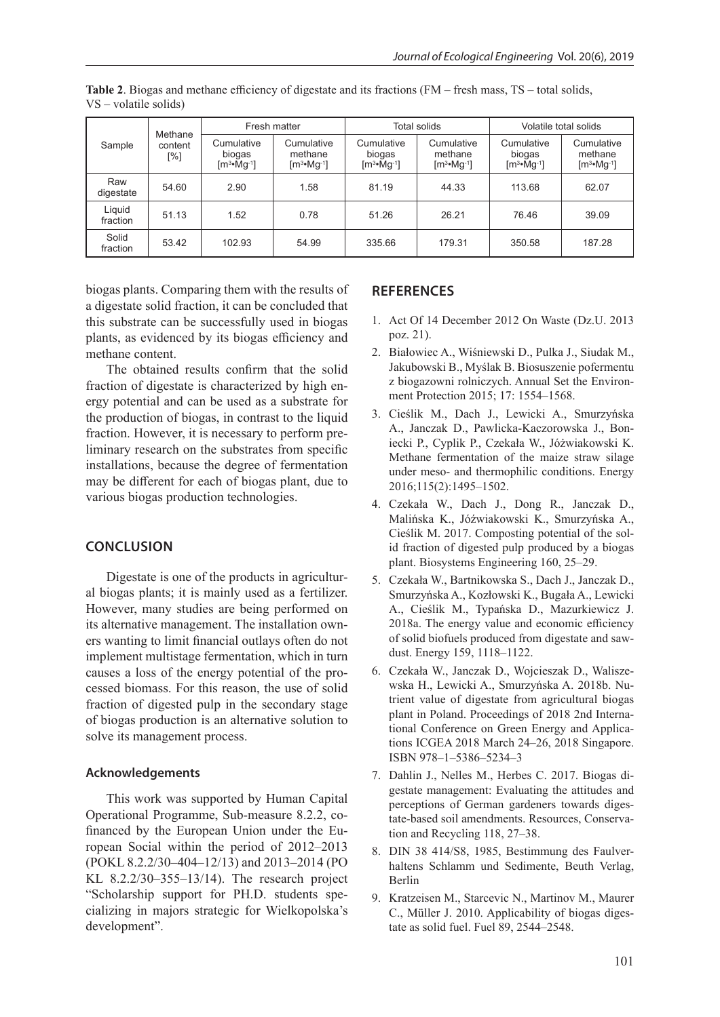| Sample             | Methane        | Fresh matter                        |                                      | Total solids                        |                                      | Volatile total solids               |                                                |
|--------------------|----------------|-------------------------------------|--------------------------------------|-------------------------------------|--------------------------------------|-------------------------------------|------------------------------------------------|
|                    | content<br>[%] | Cumulative<br>biogas<br>$[m3•Mg-1]$ | Cumulative<br>methane<br>$[m3•Mg-1]$ | Cumulative<br>biogas<br>$[m3•Mg-1]$ | Cumulative<br>methane<br>$[m3•Mg-1]$ | Cumulative<br>biogas<br>$[m3•Mg-1]$ | Cumulative<br>methane<br>$[m^3 \cdot Mg^{-1}]$ |
| Raw<br>digestate   | 54.60          | 2.90                                | 1.58                                 | 81.19                               | 44.33                                | 113.68                              | 62.07                                          |
| Liquid<br>fraction | 51.13          | 1.52                                | 0.78                                 | 51.26                               | 26.21                                | 76.46                               | 39.09                                          |
| Solid<br>fraction  | 53.42          | 102.93                              | 54.99                                | 335.66                              | 179.31                               | 350.58                              | 187.28                                         |

**Table 2**. Biogas and methane efficiency of digestate and its fractions (FM – fresh mass, TS – total solids, VS – volatile solids)

biogas plants. Comparing them with the results of a digestate solid fraction, it can be concluded that this substrate can be successfully used in biogas plants, as evidenced by its biogas efficiency and methane content.

The obtained results confirm that the solid fraction of digestate is characterized by high energy potential and can be used as a substrate for the production of biogas, in contrast to the liquid fraction. However, it is necessary to perform preliminary research on the substrates from specific installations, because the degree of fermentation may be different for each of biogas plant, due to various biogas production technologies.

## **CONCLUSION**

Digestate is one of the products in agricultural biogas plants; it is mainly used as a fertilizer. However, many studies are being performed on its alternative management. The installation owners wanting to limit financial outlays often do not implement multistage fermentation, which in turn causes a loss of the energy potential of the processed biomass. For this reason, the use of solid fraction of digested pulp in the secondary stage of biogas production is an alternative solution to solve its management process.

#### **Acknowledgements**

This work was supported by Human Capital Operational Programme, Sub-measure 8.2.2, cofinanced by the European Union under the European Social within the period of 2012–2013 (POKL 8.2.2/30–404–12/13) and 2013–2014 (PO KL 8.2.2/30–355–13/14). The research project "Scholarship support for PH.D. students specializing in majors strategic for Wielkopolska's development".

#### **REFERENCES**

- 1. Act Of 14 December 2012 On Waste (Dz.U. 2013 poz. 21).
- 2. Białowiec A., Wiśniewski D., Pulka J., Siudak M., Jakubowski B., Myślak B. Biosuszenie pofermentu z biogazowni rolniczych. Annual Set the Environment Protection 2015; 17: 1554–1568.
- 3. Cieślik M., Dach J., Lewicki A., Smurzyńska A., Janczak D., Pawlicka-Kaczorowska J., Boniecki P., Cyplik P., Czekała W., Jóżwiakowski K. Methane fermentation of the maize straw silage under meso- and thermophilic conditions. Energy 2016;115(2):1495–1502.
- 4. Czekała W., Dach J., Dong R., Janczak D., Malińska K., Jóźwiakowski K., Smurzyńska A., Cieślik M. 2017. Composting potential of the solid fraction of digested pulp produced by a biogas plant. Biosystems Engineering 160, 25–29.
- 5. Czekała W., Bartnikowska S., Dach J., Janczak D., Smurzyńska A., Kozłowski K., Bugała A., Lewicki A., Cieślik M., Typańska D., Mazurkiewicz J. 2018a. The energy value and economic efficiency of solid biofuels produced from digestate and sawdust. Energy 159, 1118–1122.
- 6. Czekała W., Janczak D., Wojcieszak D., Waliszewska H., Lewicki A., Smurzyńska A. 2018b. Nutrient value of digestate from agricultural biogas plant in Poland. Proceedings of 2018 2nd International Conference on Green Energy and Applications ICGEA 2018 March 24–26, 2018 Singapore. ISBN 978–1–5386–5234–3
- 7. Dahlin J., Nelles M., Herbes C. 2017. Biogas digestate management: Evaluating the attitudes and perceptions of German gardeners towards digestate-based soil amendments. Resources, Conservation and Recycling 118, 27–38.
- 8. DIN 38 414/S8, 1985, Bestimmung des Faulverhaltens Schlamm und Sedimente, Beuth Verlag, Berlin
- 9. Kratzeisen M., Starcevic N., Martinov M., Maurer C., Müller J. 2010. Applicability of biogas digestate as solid fuel. Fuel 89, 2544–2548.